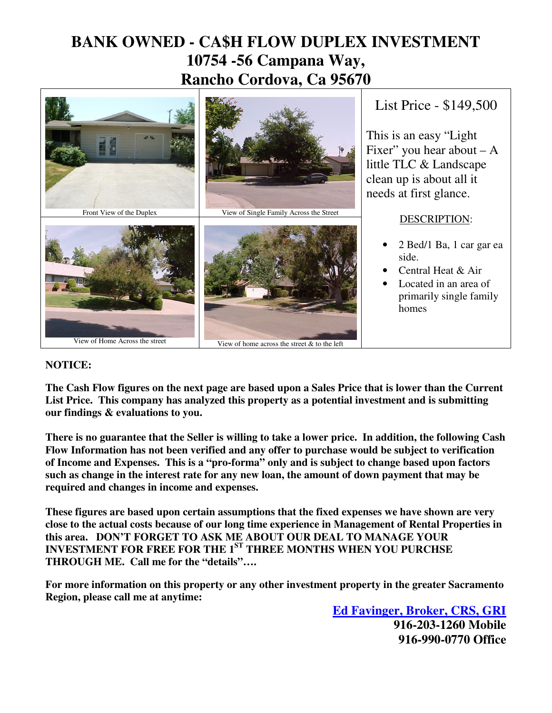## **BANK OWNED - CA\$H FLOW DUPLEX INVESTMENT 10754 -56 Campana Way, Rancho Cordova, Ca 95670**



### **NOTICE:**

**The Cash Flow figures on the next page are based upon a Sales Price that is lower than the Current List Price. This company has analyzed this property as a potential investment and is submitting our findings & evaluations to you.** 

**There is no guarantee that the Seller is willing to take a lower price. In addition, the following Cash Flow Information has not been verified and any offer to purchase would be subject to verification of Income and Expenses. This is a "pro-forma" only and is subject to change based upon factors such as change in the interest rate for any new loan, the amount of down payment that may be required and changes in income and expenses.** 

**These figures are based upon certain assumptions that the fixed expenses we have shown are very close to the actual costs because of our long time experience in Management of Rental Properties in this area. DON'T FORGET TO ASK ME ABOUT OUR DEAL TO MANAGE YOUR INVESTMENT FOR FREE FOR THE 1ST THREE MONTHS WHEN YOU PURCHSE THROUGH ME. Call me for the "details"….**

**For more information on this property or any other investment property in the greater Sacramento Region, please call me at anytime:** 

**Ed Favinger, Broker, CRS, GRI 916-203-1260 Mobile 916-990-0770 Office**